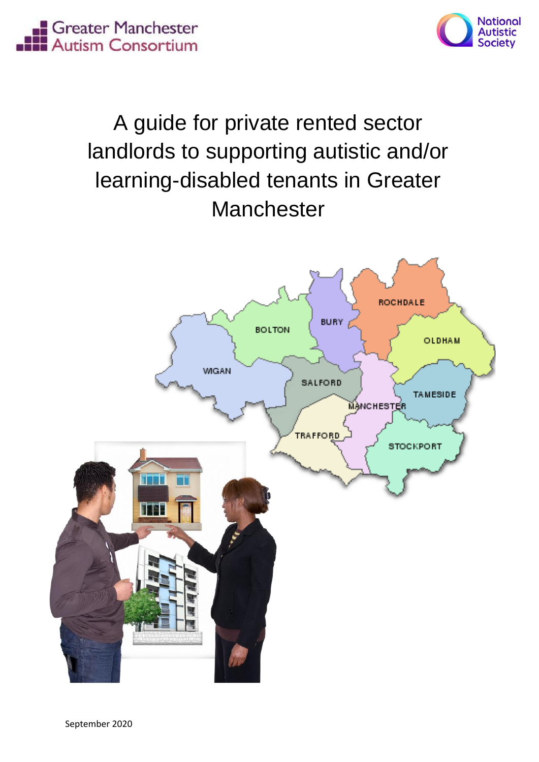**El Greater Manchester**<br> **El Autism Consortium** 



# A guide for private rented sector landlords to supporting autistic and/or learning-disabled tenants in Greater **Manchester**

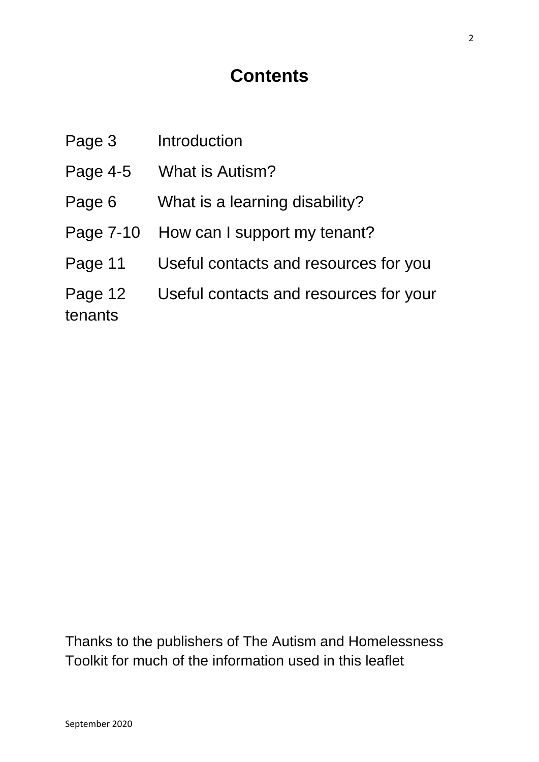# **Contents**

| Page 3             | Introduction                           |
|--------------------|----------------------------------------|
| Page 4-5           | <b>What is Autism?</b>                 |
| Page 6             | What is a learning disability?         |
| Page 7-10          | How can I support my tenant?           |
| Page 11            | Useful contacts and resources for you  |
| Page 12<br>tenants | Useful contacts and resources for your |

Thanks to the publishers of The Autism and Homelessness Toolkit for much of the information used in this leaflet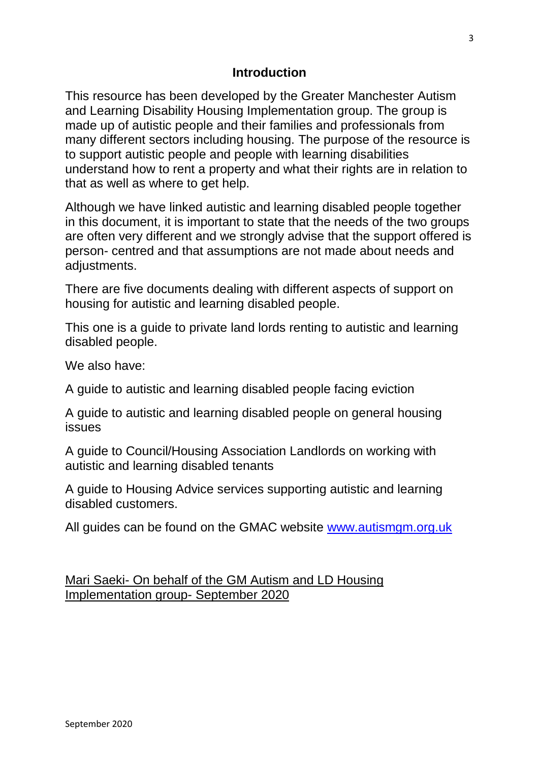#### **Introduction**

This resource has been developed by the Greater Manchester Autism and Learning Disability Housing Implementation group. The group is made up of autistic people and their families and professionals from many different sectors including housing. The purpose of the resource is to support autistic people and people with learning disabilities understand how to rent a property and what their rights are in relation to that as well as where to get help.

Although we have linked autistic and learning disabled people together in this document, it is important to state that the needs of the two groups are often very different and we strongly advise that the support offered is person- centred and that assumptions are not made about needs and adjustments.

There are five documents dealing with different aspects of support on housing for autistic and learning disabled people.

This one is a guide to private land lords renting to autistic and learning disabled people.

We also have:

A guide to autistic and learning disabled people facing eviction

A guide to autistic and learning disabled people on general housing issues

A guide to Council/Housing Association Landlords on working with autistic and learning disabled tenants

A guide to Housing Advice services supporting autistic and learning disabled customers.

All guides can be found on the GMAC website [www.autismgm.org.uk](http://www.autismgm.org.uk/)

Mari Saeki- On behalf of the GM Autism and LD Housing Implementation group- September 2020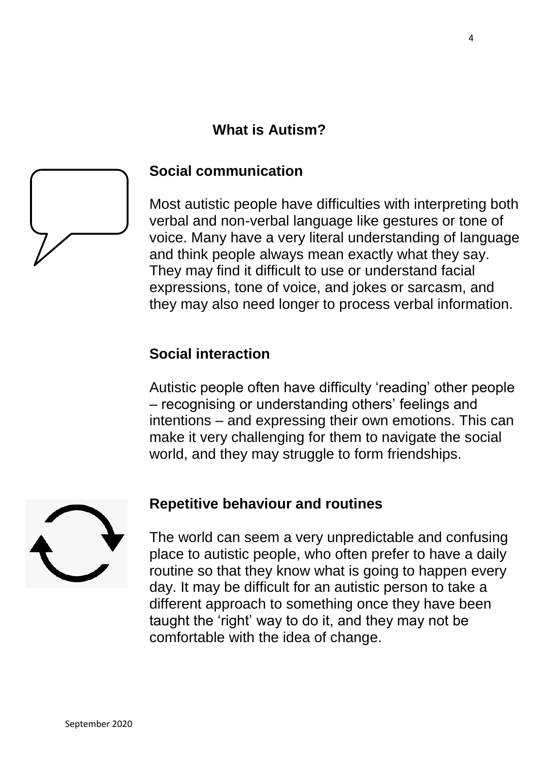### **What is Autism?**



#### **Social communication**

Most autistic people have difficulties with interpreting both verbal and non-verbal language like gestures or tone of voice. Many have a very literal understanding of language and think people always mean exactly what they say. They may find it difficult to use or understand facial expressions, tone of voice, and jokes or sarcasm, and they may also need longer to process verbal information.

#### **Social interaction**

Autistic people often have difficulty 'reading' other people – recognising or understanding others' feelings and intentions – and expressing their own emotions. This can make it very challenging for them to navigate the social world, and they may struggle to form friendships.



#### **Repetitive behaviour and routines**

The world can seem a very unpredictable and confusing place to autistic people, who often prefer to have a daily routine so that they know what is going to happen every day. It may be difficult for an autistic person to take a different approach to something once they have been taught the 'right' way to do it, and they may not be comfortable with the idea of change.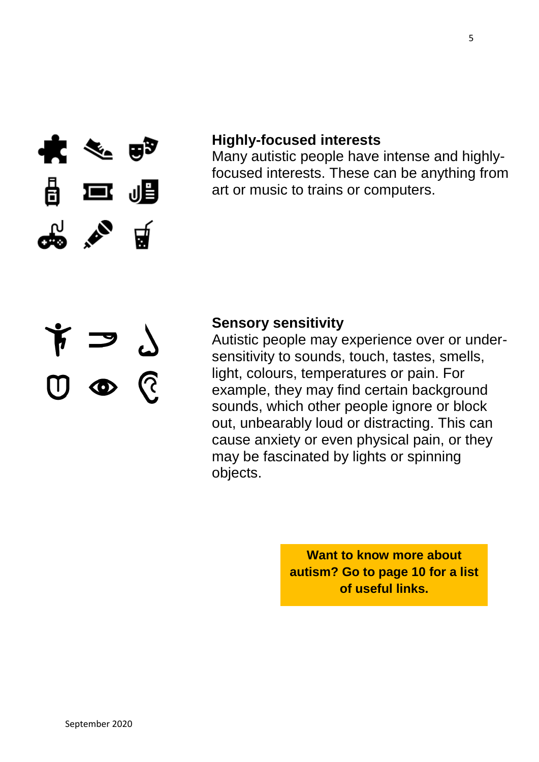

 $\begin{array}{c} \gamma \rightarrow 0 \\ \gamma \rightarrow 0 \\ \gamma \rightarrow 0 \end{array}$ 

#### **Highly-focused interests**

Many autistic people have intense and highlyfocused interests. These can be anything from art or music to trains or computers.

#### **Sensory sensitivity**

Autistic people may experience over or undersensitivity to sounds, touch, tastes, smells, light, colours, temperatures or pain. For example, they may find certain background sounds, which other people ignore or block out, unbearably loud or distracting. This can cause anxiety or even physical pain, or they may be fascinated by lights or spinning objects.

> **Want to know more about autism? Go to page 10 for a list of useful links.**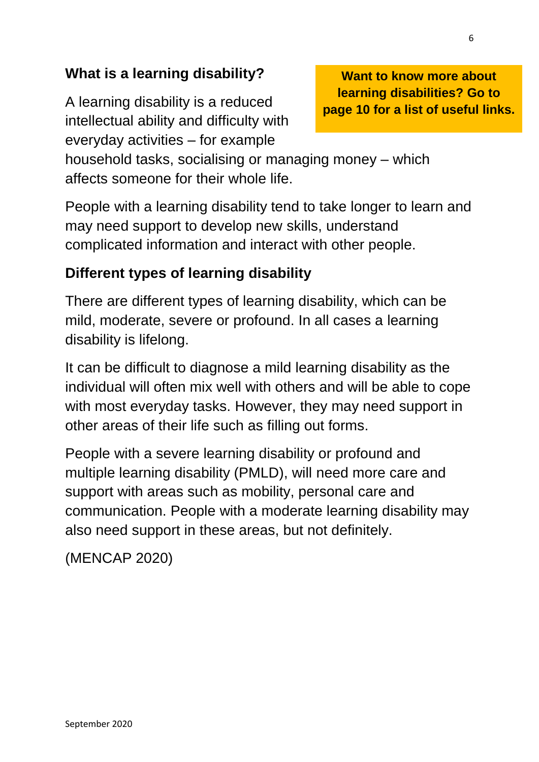### **What is a learning disability?**

A learning disability is a reduced intellectual ability and difficulty with everyday activities – for example

**Want to know more about learning disabilities? Go to page 10 for a list of useful links.**

household tasks, socialising or managing money – which affects someone for their whole life.

People with a learning disability tend to take longer to learn and may need support to develop new skills, understand complicated information and interact with other people.

### **Different types of learning disability**

There are different types of learning disability, which can be mild, moderate, severe or profound. In all cases a learning disability is lifelong.

It can be difficult to diagnose a mild learning disability as the individual will often mix well with others and will be able to cope with most everyday tasks. However, they may need support in other areas of their life such as filling out forms.

People with a severe learning disability or profound and multiple learning disability (PMLD), will need more care and support with areas such as mobility, personal care and communication. People with a moderate learning disability may also need support in these areas, but not definitely.

(MENCAP 2020)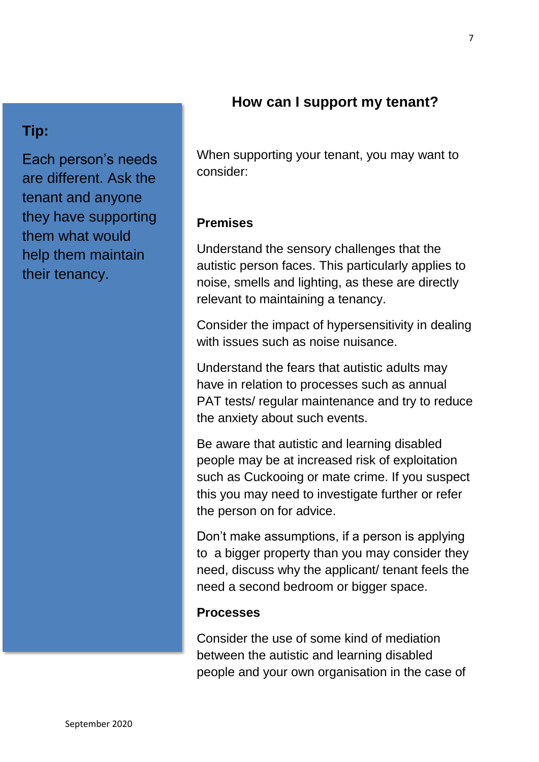#### **How can I support my tenant?**

### **Tip:**

Each person's needs are different. Ask the tenant and anyone they have supporting them what would help them maintain their tenancy.

When supporting your tenant, you may want to consider:

#### **Premises**

Understand the sensory challenges that the autistic person faces. This particularly applies to noise, smells and lighting, as these are directly relevant to maintaining a tenancy.

Consider the impact of hypersensitivity in dealing with issues such as noise nuisance.

Understand the fears that autistic adults may have in relation to processes such as annual PAT tests/ regular maintenance and try to reduce the anxiety about such events.

Be aware that autistic and learning disabled people may be at increased risk of exploitation such as Cuckooing or mate crime. If you suspect this you may need to investigate further or refer the person on for advice.

Don't make assumptions, if a person is applying to a bigger property than you may consider they need, discuss why the applicant/ tenant feels the need a second bedroom or bigger space.

#### **Processes**

Consider the use of some kind of mediation between the autistic and learning disabled people and your own organisation in the case of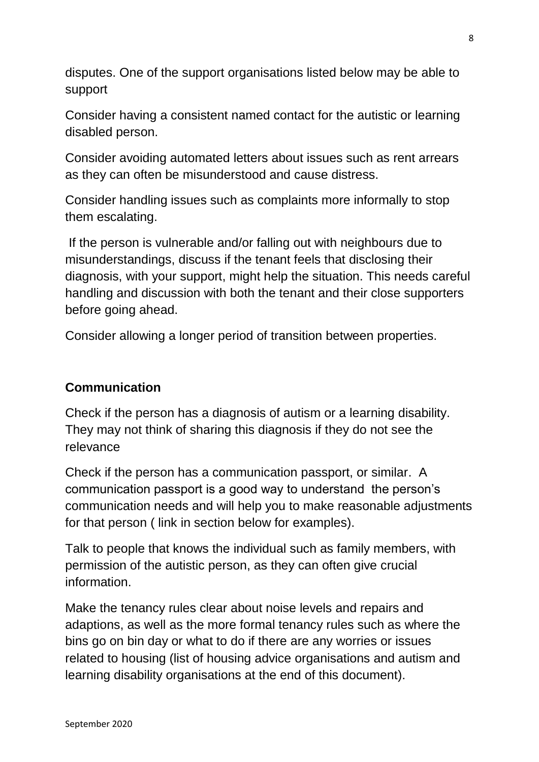disputes. One of the support organisations listed below may be able to support

Consider having a consistent named contact for the autistic or learning disabled person.

Consider avoiding automated letters about issues such as rent arrears as they can often be misunderstood and cause distress.

Consider handling issues such as complaints more informally to stop them escalating.

If the person is vulnerable and/or falling out with neighbours due to misunderstandings, discuss if the tenant feels that disclosing their diagnosis, with your support, might help the situation. This needs careful handling and discussion with both the tenant and their close supporters before going ahead.

Consider allowing a longer period of transition between properties.

#### **Communication**

Check if the person has a diagnosis of autism or a learning disability. They may not think of sharing this diagnosis if they do not see the relevance

Check if the person has a communication passport, or similar. A communication passport is a good way to understand the person's communication needs and will help you to make reasonable adjustments for that person ( link in section below for examples).

Talk to people that knows the individual such as family members, with permission of the autistic person, as they can often give crucial information.

Make the tenancy rules clear about noise levels and repairs and adaptions, as well as the more formal tenancy rules such as where the bins go on bin day or what to do if there are any worries or issues related to housing (list of housing advice organisations and autism and learning disability organisations at the end of this document).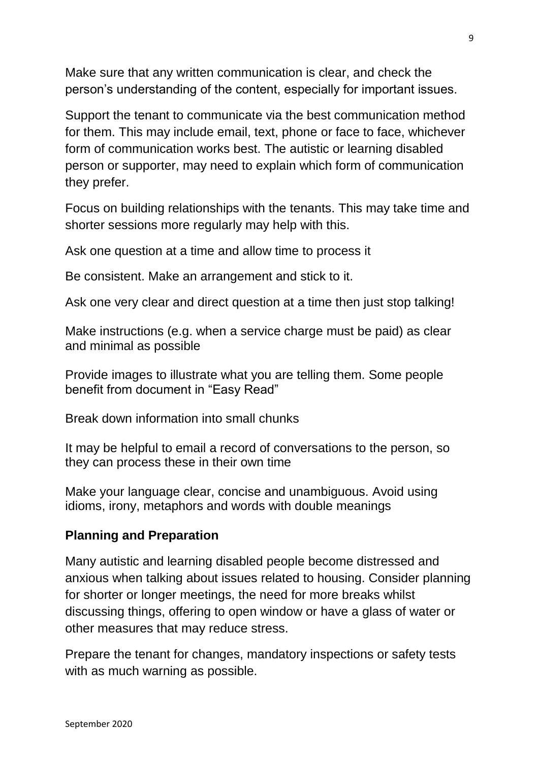Make sure that any written communication is clear, and check the person's understanding of the content, especially for important issues.

Support the tenant to communicate via the best communication method for them. This may include email, text, phone or face to face, whichever form of communication works best. The autistic or learning disabled person or supporter, may need to explain which form of communication they prefer.

Focus on building relationships with the tenants. This may take time and shorter sessions more regularly may help with this.

Ask one question at a time and allow time to process it

Be consistent. Make an arrangement and stick to it.

Ask one very clear and direct question at a time then just stop talking!

Make instructions (e.g. when a service charge must be paid) as clear and minimal as possible

Provide images to illustrate what you are telling them. Some people benefit from document in "Easy Read"

Break down information into small chunks

It may be helpful to email a record of conversations to the person, so they can process these in their own time

Make your language clear, concise and unambiguous. Avoid using idioms, irony, metaphors and words with double meanings

#### **Planning and Preparation**

Many autistic and learning disabled people become distressed and anxious when talking about issues related to housing. Consider planning for shorter or longer meetings, the need for more breaks whilst discussing things, offering to open window or have a glass of water or other measures that may reduce stress.

Prepare the tenant for changes, mandatory inspections or safety tests with as much warning as possible.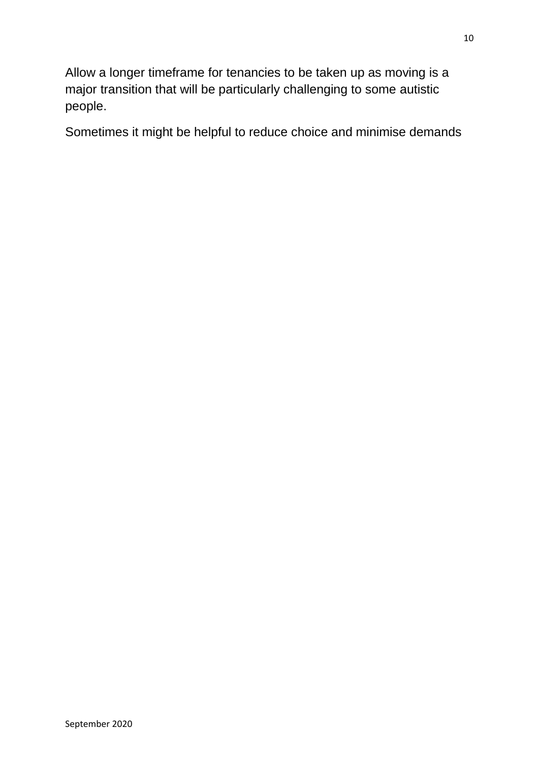Allow a longer timeframe for tenancies to be taken up as moving is a major transition that will be particularly challenging to some autistic people.

Sometimes it might be helpful to reduce choice and minimise demands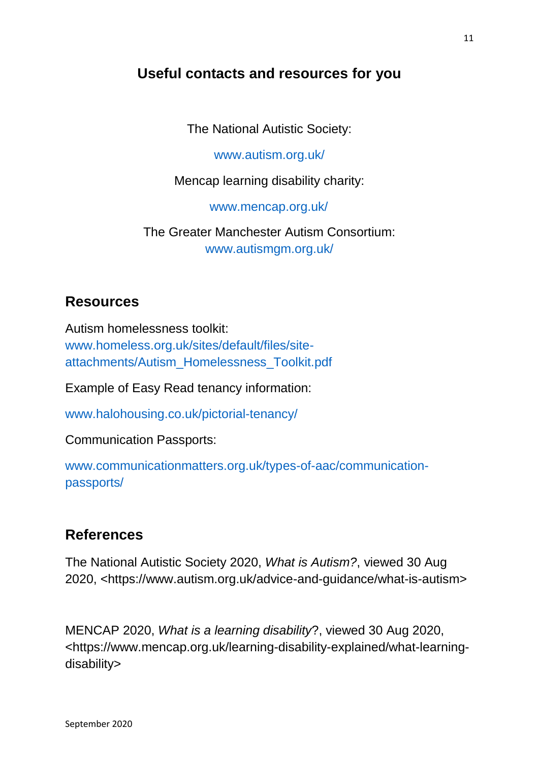### **Useful contacts and resources for you**

The National Autistic Society:

[www.autism.org.uk/](http://www.autism.org.uk/)

Mencap learning disability charity:

[www.mencap.org.uk/](http://www.mencap.org.uk/)

The Greater Manchester Autism Consortium: www.autismgm.org.uk/

#### **Resources**

Autism homelessness toolkit: [www.homeless.org.uk/sites/default/files/site](http://www.homeless.org.uk/sites/default/files/site-attachments/Autism_Homelessness_Toolkit.pdf)[attachments/Autism\\_Homelessness\\_Toolkit.pdf](http://www.homeless.org.uk/sites/default/files/site-attachments/Autism_Homelessness_Toolkit.pdf)

Example of Easy Read tenancy information:

[www.halohousing.co.uk/pictorial-tenancy/](http://www.halohousing.co.uk/pictorial-tenancy/)

Communication Passports:

[www.communicationmatters.org.uk/types-of-aac/communication](http://www.communicationmatters.org.uk/types-of-aac/communication-passports/)[passports/](http://www.communicationmatters.org.uk/types-of-aac/communication-passports/)

### **References**

The National Autistic Society 2020, *What is Autism?*, viewed 30 Aug 2020, [<https://www.autism.org.uk/advice-and-guidance/what-is-autism>](https://www.autism.org.uk/advice-and-guidance/what-is-autism)

MENCAP 2020, *What is a learning disability*?, viewed 30 Aug 2020, [<https://www.mencap.org.uk/learning-disability-explained/what-learning](https://www.mencap.org.uk/learning-disability-explained/what-learning-disability)[disability>](https://www.mencap.org.uk/learning-disability-explained/what-learning-disability)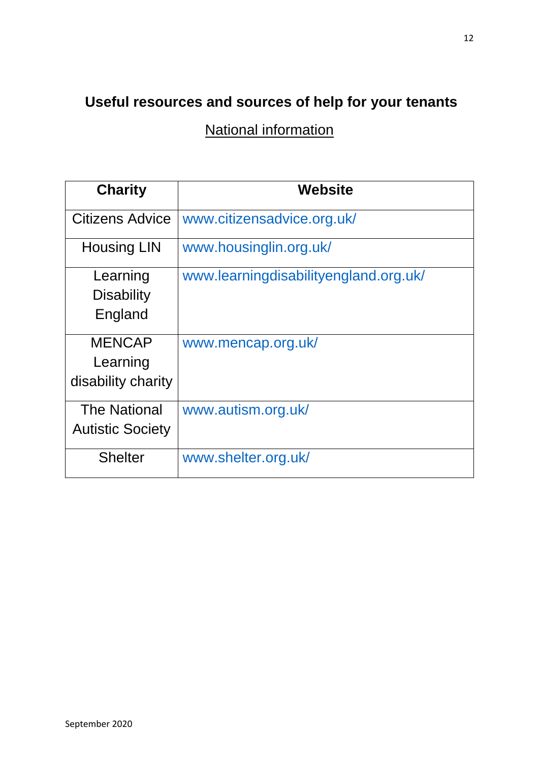### **Useful resources and sources of help for your tenants**

National information

| <b>Charity</b>                                  | <b>Website</b>                        |
|-------------------------------------------------|---------------------------------------|
| Citizens Advice                                 | www.citizensadvice.org.uk/            |
| <b>Housing LIN</b>                              | www.housinglin.org.uk/                |
| Learning<br><b>Disability</b><br>England        | www.learningdisabilityengland.org.uk/ |
| <b>MENCAP</b><br>Learning<br>disability charity | www.mencap.org.uk/                    |
| <b>The National</b><br><b>Autistic Society</b>  | www.autism.org.uk/                    |
| <b>Shelter</b>                                  | www.shelter.org.uk/                   |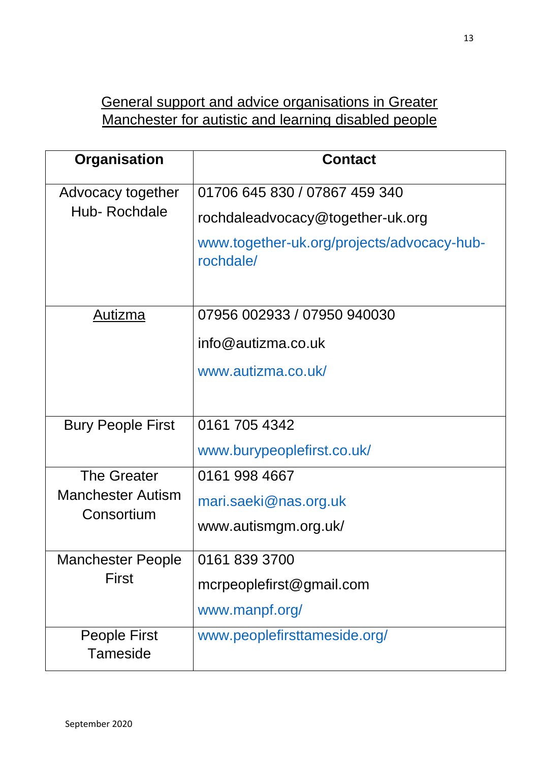### General support and advice organisations in Greater Manchester for autistic and learning disabled people

| <b>Organisation</b>                    | <b>Contact</b>                                          |
|----------------------------------------|---------------------------------------------------------|
| Advocacy together                      | 01706 645 830 / 07867 459 340                           |
| Hub-Rochdale                           | rochdaleadvocacy@together-uk.org                        |
|                                        | www.together-uk.org/projects/advocacy-hub-<br>rochdale/ |
| <u>Autizma</u>                         | 07956 002933 / 07950 940030                             |
|                                        | $info@$ autizma.co.uk                                   |
|                                        | www.autizma.co.uk/                                      |
|                                        |                                                         |
| <b>Bury People First</b>               | 0161 705 4342                                           |
|                                        | www.burypeoplefirst.co.uk/                              |
| <b>The Greater</b>                     | 0161 998 4667                                           |
| <b>Manchester Autism</b><br>Consortium | mari.saeki@nas.org.uk                                   |
|                                        | www.autismgm.org.uk/                                    |
| <b>Manchester People</b>               | 0161 839 3700                                           |
| <b>First</b>                           | mcrpeoplefirst@gmail.com                                |
|                                        | www.manpf.org/                                          |
| <b>People First</b><br><b>Tameside</b> | www.peoplefirsttameside.org/                            |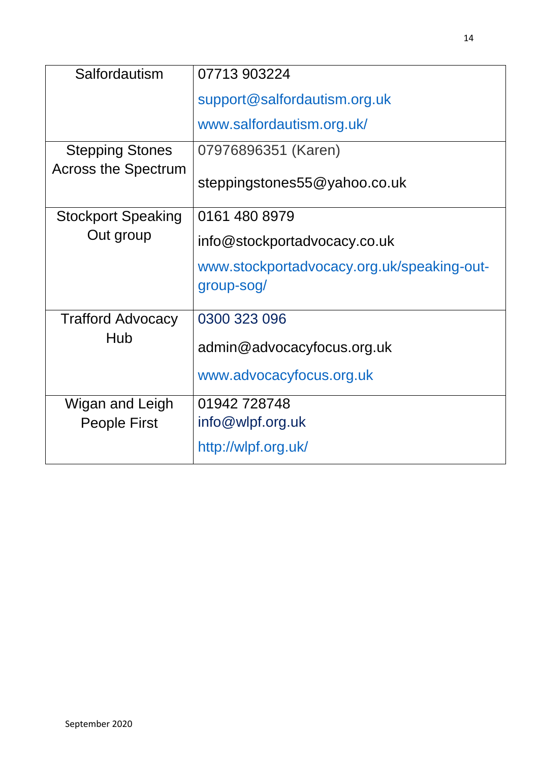| Salfordautism              | 07713 903224                               |
|----------------------------|--------------------------------------------|
|                            | support@salfordautism.org.uk               |
|                            | www.salfordautism.org.uk/                  |
| <b>Stepping Stones</b>     | 07976896351 (Karen)                        |
| <b>Across the Spectrum</b> | steppingstones55@yahoo.co.uk               |
| <b>Stockport Speaking</b>  | 0161 480 8979                              |
| Out group                  | info@stockportadvocacy.co.uk               |
|                            | www.stockportadvocacy.org.uk/speaking-out- |
|                            | group-sog/                                 |
| <b>Trafford Advocacy</b>   | 0300 323 096                               |
| Hub                        | admin@advocacyfocus.org.uk                 |
|                            | www.advocacyfocus.org.uk                   |
| Wigan and Leigh            | 01942728748                                |
| <b>People First</b>        | info@wlpf.org.uk                           |
|                            | http://wlpf.org.uk/                        |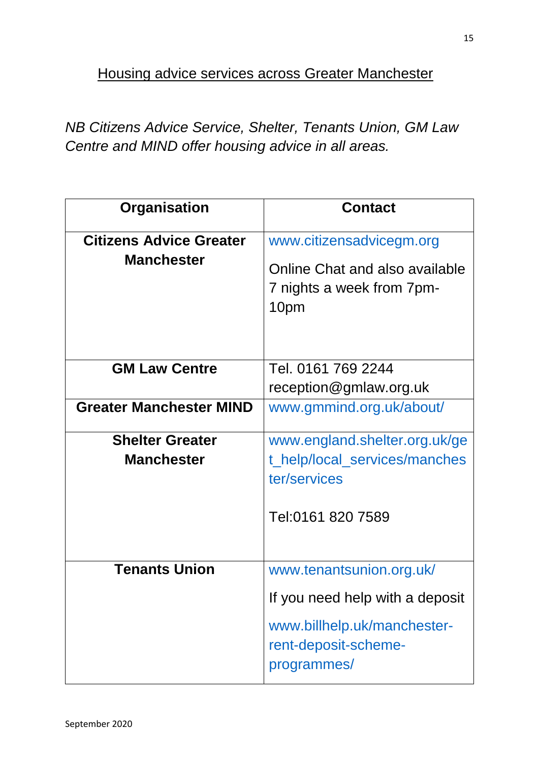Housing advice services across Greater Manchester

*NB Citizens Advice Service, Shelter, Tenants Union, GM Law Centre and MIND offer housing advice in all areas.* 

| Organisation                                        | <b>Contact</b>                                                                                                                    |
|-----------------------------------------------------|-----------------------------------------------------------------------------------------------------------------------------------|
| <b>Citizens Advice Greater</b><br><b>Manchester</b> | www.citizensadvicegm.org<br>Online Chat and also available<br>7 nights a week from 7pm-<br>10pm                                   |
| <b>GM Law Centre</b>                                | Tel. 0161 769 2244<br>reception@gmlaw.org.uk                                                                                      |
| <b>Greater Manchester MIND</b>                      | www.gmmind.org.uk/about/                                                                                                          |
| <b>Shelter Greater</b><br><b>Manchester</b>         | www.england.shelter.org.uk/ge<br>t_help/local_services/manches<br>ter/services<br>Tel:0161 820 7589                               |
| <b>Tenants Union</b>                                | www.tenantsunion.org.uk/<br>If you need help with a deposit<br>www.billhelp.uk/manchester-<br>rent-deposit-scheme-<br>programmes/ |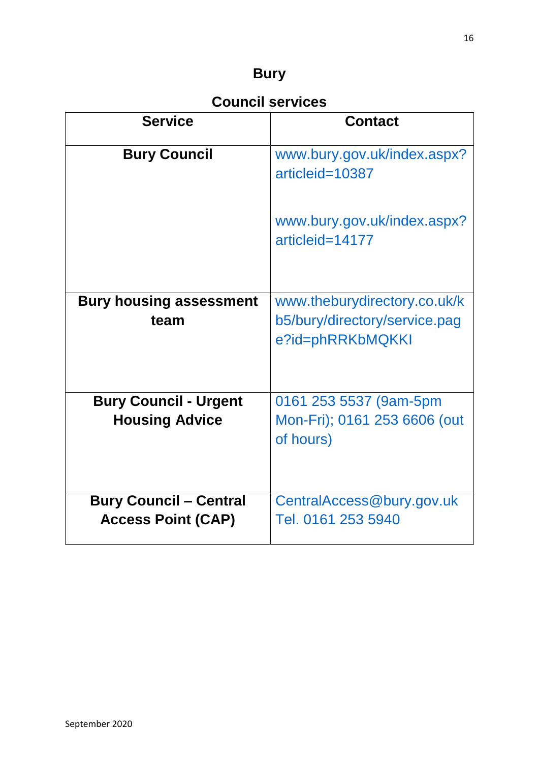### **Bury**

### **Council services**

| <b>Service</b>                                             | <b>Contact</b>                                                                    |
|------------------------------------------------------------|-----------------------------------------------------------------------------------|
| <b>Bury Council</b>                                        | www.bury.gov.uk/index.aspx?<br>articleid=10387                                    |
|                                                            | www.bury.gov.uk/index.aspx?<br>articleid=14177                                    |
| <b>Bury housing assessment</b><br>team                     | www.theburydirectory.co.uk/k<br>b5/bury/directory/service.pag<br>e?id=phRRKbMQKKI |
| <b>Bury Council - Urgent</b><br><b>Housing Advice</b>      | 0161 253 5537 (9am-5pm<br>Mon-Fri); 0161 253 6606 (out<br>of hours)               |
| <b>Bury Council - Central</b><br><b>Access Point (CAP)</b> | CentralAccess@bury.gov.uk<br>Tel. 0161 253 5940                                   |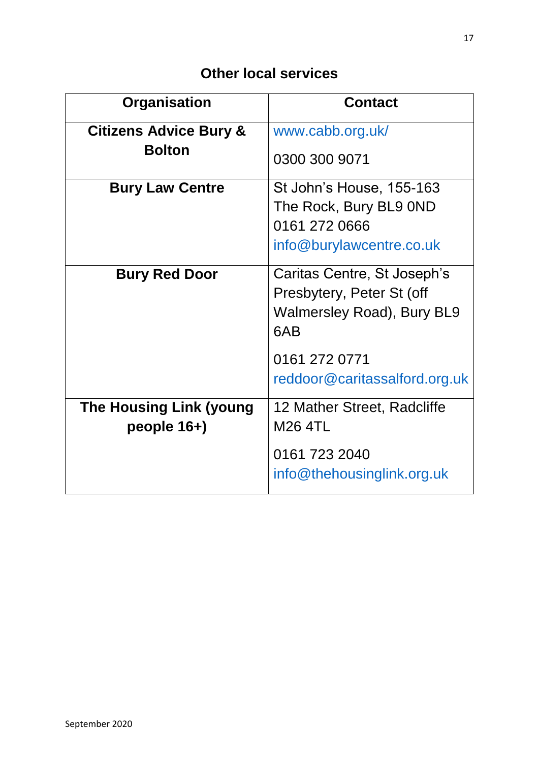| <b>Organisation</b>                              | <b>Contact</b>                                                                                       |
|--------------------------------------------------|------------------------------------------------------------------------------------------------------|
| <b>Citizens Advice Bury &amp;</b>                | www.cabb.org.uk/                                                                                     |
| <b>Bolton</b>                                    | 0300 300 9071                                                                                        |
| <b>Bury Law Centre</b>                           | St John's House, 155-163<br>The Rock, Bury BL9 0ND<br>0161 272 0666<br>info@burylawcentre.co.uk      |
| <b>Bury Red Door</b>                             | Caritas Centre, St Joseph's<br>Presbytery, Peter St (off<br><b>Walmersley Road), Bury BL9</b><br>6AB |
|                                                  | 0161 272 0771<br>reddoor@caritassalford.org.uk                                                       |
| <b>The Housing Link (young</b><br>people $16+$ ) | 12 Mather Street, Radcliffe<br><b>M26 4TL</b>                                                        |
|                                                  | 0161 723 2040<br>info@thehousinglink.org.uk                                                          |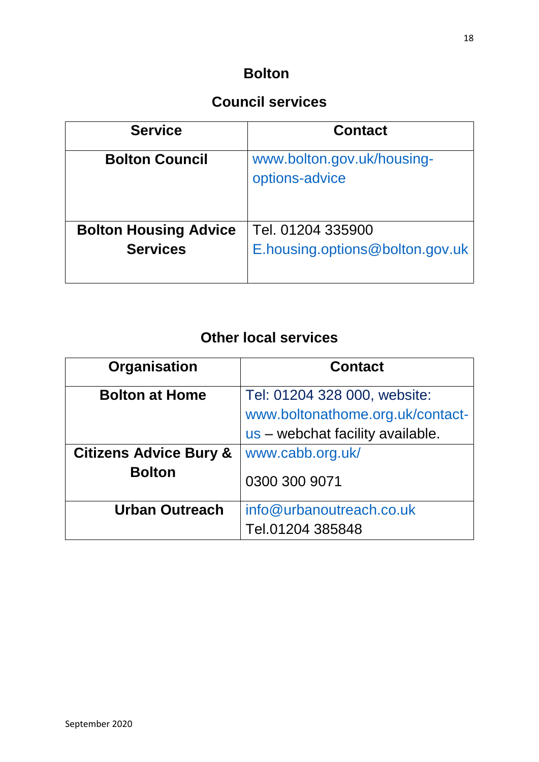### **Bolton**

# **Council services**

| <b>Service</b>               | <b>Contact</b>                               |
|------------------------------|----------------------------------------------|
| <b>Bolton Council</b>        | www.bolton.gov.uk/housing-<br>options-advice |
| <b>Bolton Housing Advice</b> | Tel. 01204 335900                            |
| <b>Services</b>              | E.housing.options@bolton.gov.uk              |

| Organisation                                       | <b>Contact</b>                                                                                       |
|----------------------------------------------------|------------------------------------------------------------------------------------------------------|
| <b>Bolton at Home</b>                              | Tel: 01204 328 000, website:<br>www.boltonathome.org.uk/contact-<br>us - webchat facility available. |
| <b>Citizens Advice Bury &amp;</b><br><b>Bolton</b> | www.cabb.org.uk/<br>0300 300 9071                                                                    |
| <b>Urban Outreach</b>                              | info@urbanoutreach.co.uk<br>Tel.01204 385848                                                         |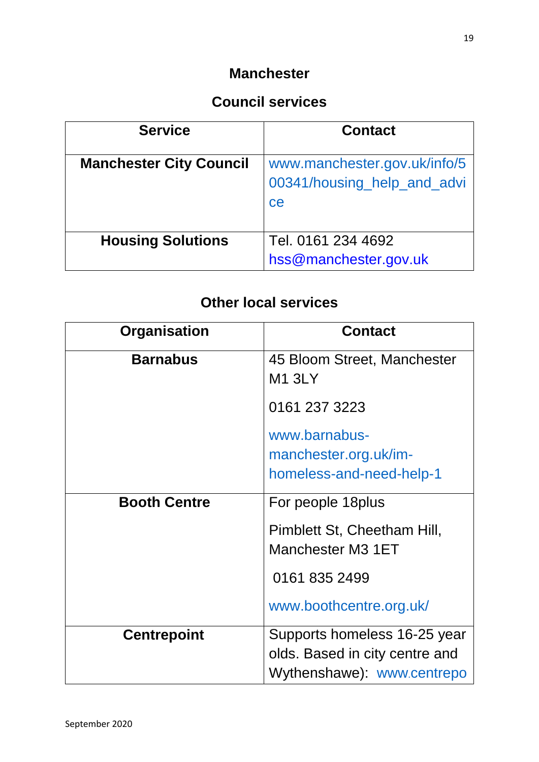#### **Manchester**

### **Council services**

| <b>Service</b>                 | <b>Contact</b>                                                    |
|--------------------------------|-------------------------------------------------------------------|
| <b>Manchester City Council</b> | www.manchester.gov.uk/info/5<br>00341/housing_help_and_advi<br>ce |
| <b>Housing Solutions</b>       | Tel. 0161 234 4692<br>hss@manchester.gov.uk                       |

| Organisation        | <b>Contact</b>                                                     |
|---------------------|--------------------------------------------------------------------|
| <b>Barnabus</b>     | 45 Bloom Street, Manchester<br><b>M1 3LY</b>                       |
|                     | 0161 237 3223                                                      |
|                     | www.barnabus-<br>manchester.org.uk/im-<br>homeless-and-need-help-1 |
| <b>Booth Centre</b> | For people 18 plus                                                 |
|                     | Pimblett St, Cheetham Hill,<br>Manchester M3 1ET                   |
|                     | 0161 835 2499                                                      |
|                     | www.boothcentre.org.uk/                                            |
| <b>Centrepoint</b>  | Supports homeless 16-25 year                                       |
|                     | olds. Based in city centre and<br>Wythenshawe): www.centrepo       |
|                     |                                                                    |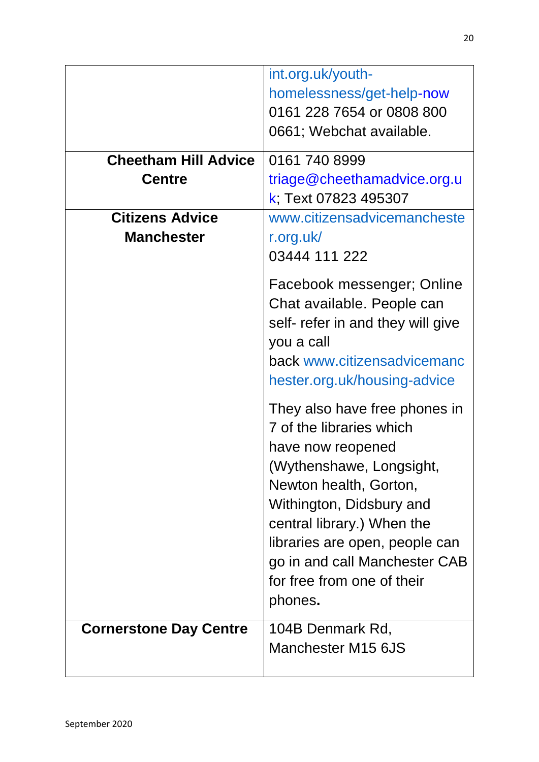|                                             | int.org.uk/youth-<br>homelessness/get-help-now<br>0161 228 7654 or 0808 800<br>0661; Webchat available.                                                                                                                                                                                                    |
|---------------------------------------------|------------------------------------------------------------------------------------------------------------------------------------------------------------------------------------------------------------------------------------------------------------------------------------------------------------|
| <b>Cheetham Hill Advice</b>                 | 0161 740 8999                                                                                                                                                                                                                                                                                              |
| <b>Centre</b>                               | triage@cheethamadvice.org.u<br>k; Text 07823 495307                                                                                                                                                                                                                                                        |
| <b>Citizens Advice</b><br><b>Manchester</b> | www.citizensadvicemancheste<br>r.org.uk/<br>03444 111 222                                                                                                                                                                                                                                                  |
|                                             | Facebook messenger; Online<br>Chat available. People can<br>self- refer in and they will give<br>you a call<br>back www.citizensadvicemanc<br>hester.org.uk/housing-advice                                                                                                                                 |
|                                             | They also have free phones in<br>7 of the libraries which<br>have now reopened<br>(Wythenshawe, Longsight,<br>Newton health, Gorton,<br>Withington, Didsbury and<br>central library.) When the<br>libraries are open, people can<br>go in and call Manchester CAB<br>for free from one of their<br>phones. |
| <b>Cornerstone Day Centre</b>               | 104B Denmark Rd,<br>Manchester M15 6JS                                                                                                                                                                                                                                                                     |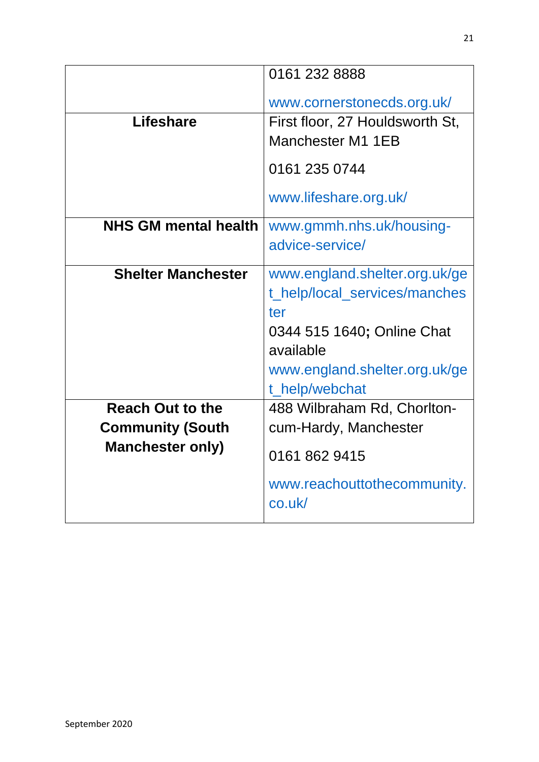|                             | 0161 232 8888                               |
|-----------------------------|---------------------------------------------|
|                             | www.cornerstonecds.org.uk/                  |
| <b>Lifeshare</b>            | First floor, 27 Houldsworth St,             |
|                             | Manchester M1 1EB                           |
|                             | 0161 235 0744                               |
|                             | www.lifeshare.org.uk/                       |
| <b>NHS GM mental health</b> | www.gmmh.nhs.uk/housing-                    |
|                             | advice-service/                             |
| <b>Shelter Manchester</b>   | www.england.shelter.org.uk/ge               |
|                             | t_help/local_services/manches               |
|                             | ter                                         |
|                             | 0344 515 1640; Online Chat                  |
|                             | available                                   |
|                             | www.england.shelter.org.uk/ge               |
|                             | t_help/webchat                              |
| <b>Reach Out to the</b>     | 488 Wilbraham Rd, Chorlton-                 |
| <b>Community (South</b>     | cum-Hardy, Manchester                       |
| <b>Manchester only)</b>     | 0161 862 9415                               |
|                             | www.reachouttothecommunity.<br>$co.$ uk $/$ |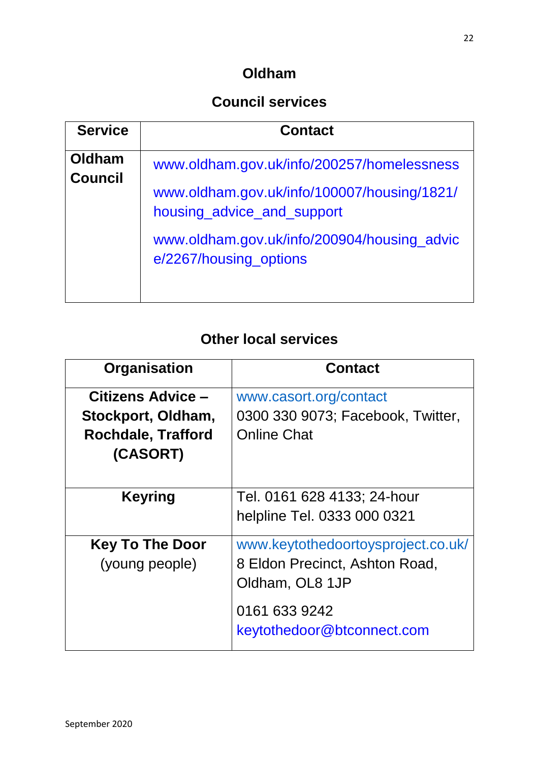### **Oldham**

### **Council services**

| <b>Service</b>           | <b>Contact</b>                                                            |
|--------------------------|---------------------------------------------------------------------------|
| Oldham<br><b>Council</b> | www.oldham.gov.uk/info/200257/homelessness                                |
|                          | www.oldham.gov.uk/info/100007/housing/1821/<br>housing_advice_and_support |
|                          | www.oldham.gov.uk/info/200904/housing_advic<br>e/2267/housing_options     |

| <b>Organisation</b>       | <b>Contact</b>                     |
|---------------------------|------------------------------------|
| <b>Citizens Advice -</b>  | www.casort.org/contact             |
| Stockport, Oldham,        | 0300 330 9073; Facebook, Twitter,  |
| <b>Rochdale, Trafford</b> | <b>Online Chat</b>                 |
| (CASORT)                  |                                    |
|                           |                                    |
| <b>Keyring</b>            | Tel. 0161 628 4133; 24-hour        |
|                           | helpline Tel. 0333 000 0321        |
| <b>Key To The Door</b>    | www.keytothedoortoysproject.co.uk/ |
| (young people)            | 8 Eldon Precinct, Ashton Road,     |
|                           | Oldham, OL8 1JP                    |
|                           | 0161 633 9242                      |
|                           | keytothedoor@btconnect.com         |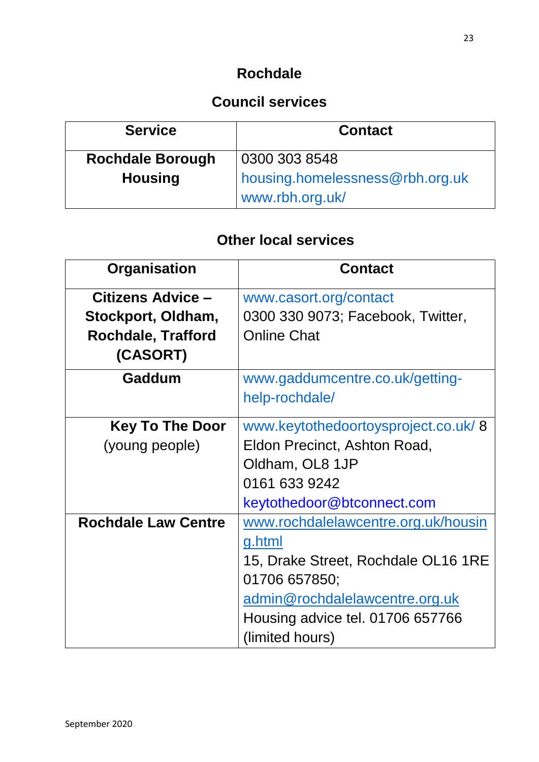### **Rochdale**

### **Council services**

| <b>Service</b>          | <b>Contact</b>                                     |
|-------------------------|----------------------------------------------------|
| <b>Rochdale Borough</b> | 0300 303 8548                                      |
| <b>Housing</b>          | housing.homelessness@rbh.org.uk<br>www.rbh.org.uk/ |

| Organisation               | <b>Contact</b>                      |
|----------------------------|-------------------------------------|
| Citizens Advice -          | www.casort.org/contact              |
| Stockport, Oldham,         | 0300 330 9073; Facebook, Twitter,   |
| <b>Rochdale, Trafford</b>  | <b>Online Chat</b>                  |
| (CASORT)                   |                                     |
| Gaddum                     | www.gaddumcentre.co.uk/getting-     |
|                            | help-rochdale/                      |
| <b>Key To The Door</b>     | www.keytothedoortoysproject.co.uk/8 |
| (young people)             | Eldon Precinct, Ashton Road,        |
|                            | Oldham, OL8 1JP                     |
|                            | 0161 633 9242                       |
|                            | keytothedoor@btconnect.com          |
| <b>Rochdale Law Centre</b> | www.rochdalelawcentre.org.uk/housin |
|                            | g.html                              |
|                            | 15, Drake Street, Rochdale OL16 1RE |
|                            | 01706 657850;                       |
|                            | admin@rochdalelawcentre.org.uk      |
|                            | Housing advice tel. 01706 657766    |
|                            | (limited hours)                     |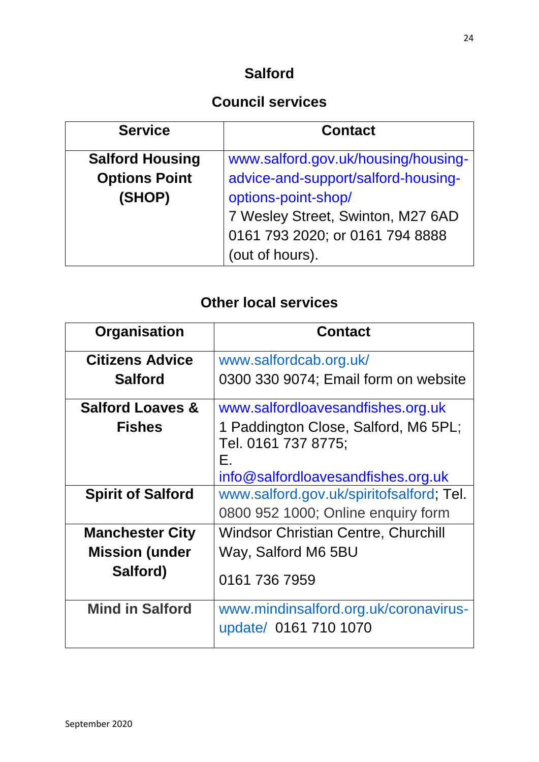### **Salford**

### **Council services**

| <b>Service</b>         | <b>Contact</b>                      |
|------------------------|-------------------------------------|
| <b>Salford Housing</b> | www.salford.gov.uk/housing/housing- |
| <b>Options Point</b>   | advice-and-support/salford-housing- |
| (SHOP)                 | options-point-shop/                 |
|                        | 7 Wesley Street, Swinton, M27 6AD   |
|                        | 0161 793 2020; or 0161 794 8888     |
|                        | (out of hours).                     |

| Organisation                | <b>Contact</b>                                                                                          |
|-----------------------------|---------------------------------------------------------------------------------------------------------|
| <b>Citizens Advice</b>      | www.salfordcab.org.uk/                                                                                  |
| <b>Salford</b>              | 0300 330 9074; Email form on website                                                                    |
| <b>Salford Loaves &amp;</b> | www.salfordloavesandfishes.org.uk                                                                       |
| <b>Fishes</b>               | 1 Paddington Close, Salford, M6 5PL;<br>Tel. 0161 737 8775;<br>Е.<br>info@salfordloavesandfishes.org.uk |
| <b>Spirit of Salford</b>    | www.salford.gov.uk/spiritofsalford; Tel.<br>0800 952 1000; Online enquiry form                          |
| <b>Manchester City</b>      | <b>Windsor Christian Centre, Churchill</b>                                                              |
| <b>Mission (under</b>       | Way, Salford M6 5BU                                                                                     |
| Salford)                    | 0161 736 7959                                                                                           |
| <b>Mind in Salford</b>      | www.mindinsalford.org.uk/coronavirus-<br>update/ 0161 710 1070                                          |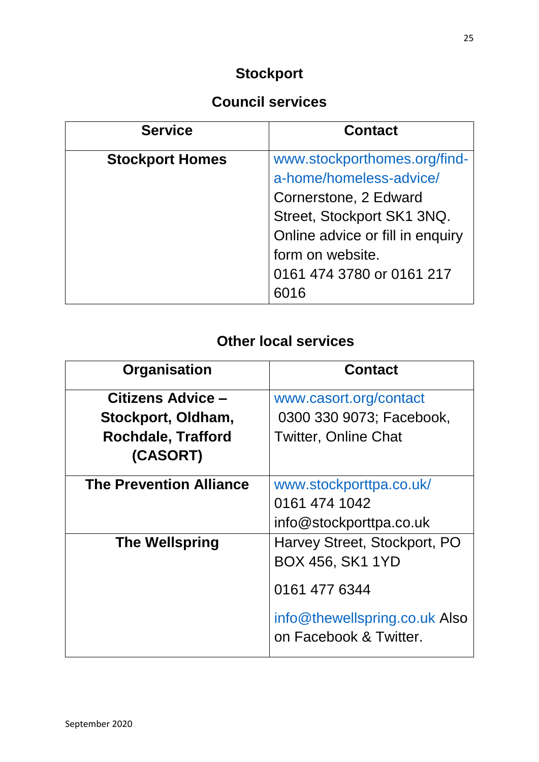# **Stockport**

# **Council services**

| <b>Service</b>         | <b>Contact</b>                   |
|------------------------|----------------------------------|
| <b>Stockport Homes</b> | www.stockporthomes.org/find-     |
|                        | a-home/homeless-advice/          |
|                        | Cornerstone, 2 Edward            |
|                        | Street, Stockport SK1 3NQ.       |
|                        | Online advice or fill in enquiry |
|                        | form on website.                 |
|                        | 0161 474 3780 or 0161 217        |
|                        |                                  |

| Organisation                   | <b>Contact</b>                                          |
|--------------------------------|---------------------------------------------------------|
| Citizens Advice -              | www.casort.org/contact                                  |
| Stockport, Oldham,             | 0300 330 9073; Facebook,                                |
| <b>Rochdale, Trafford</b>      | <b>Twitter, Online Chat</b>                             |
| (CASORT)                       |                                                         |
| <b>The Prevention Alliance</b> | www.stockporttpa.co.uk/                                 |
|                                | 0161 474 1042                                           |
|                                | info@stockporttpa.co.uk                                 |
| <b>The Wellspring</b>          | Harvey Street, Stockport, PO                            |
|                                | <b>BOX 456, SK1 1YD</b>                                 |
|                                | 0161 477 6344                                           |
|                                | info@thewellspring.co.uk Also<br>on Facebook & Twitter. |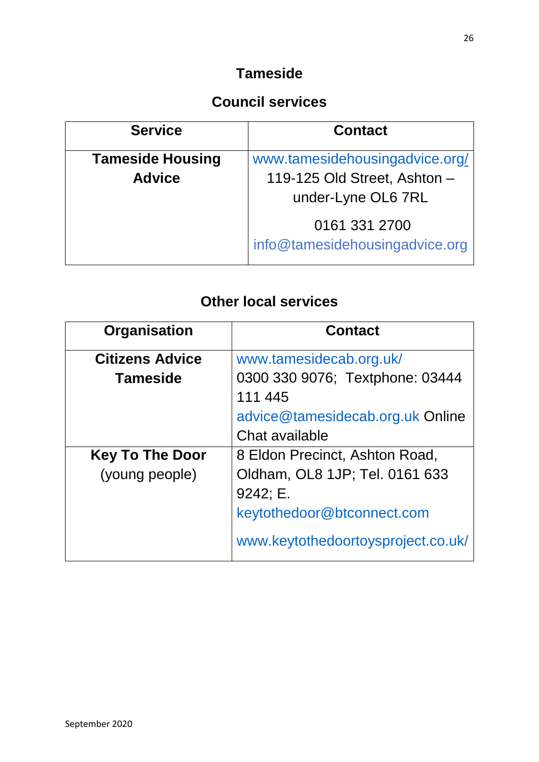### **Tameside**

### **Council services**

| <b>Service</b>                           | <b>Contact</b>                                                                       |
|------------------------------------------|--------------------------------------------------------------------------------------|
| <b>Tameside Housing</b><br><b>Advice</b> | www.tamesidehousingadvice.org/<br>119-125 Old Street, Ashton -<br>under-Lyne OL6 7RL |
|                                          | 0161 331 2700<br>info@tamesidehousingadvice.org                                      |

| Organisation           | <b>Contact</b>                     |
|------------------------|------------------------------------|
| <b>Citizens Advice</b> | www.tamesidecab.org.uk/            |
| <b>Tameside</b>        | 0300 330 9076; Textphone: 03444    |
|                        | 111 445                            |
|                        | advice@tamesidecab.org.uk Online   |
|                        | Chat available                     |
| <b>Key To The Door</b> | 8 Eldon Precinct, Ashton Road,     |
| (young people)         | Oldham, OL8 1JP; Tel. 0161 633     |
|                        | 9242; E.                           |
|                        | keytothedoor@btconnect.com         |
|                        | www.keytothedoortoysproject.co.uk/ |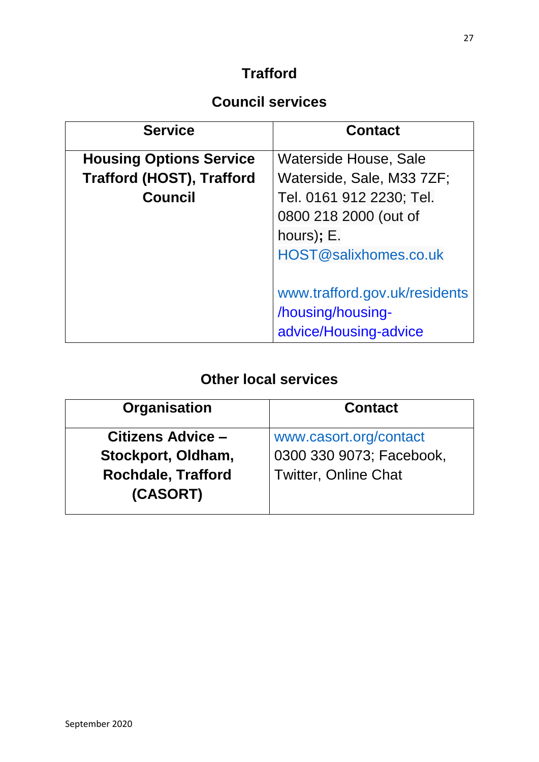### **Trafford**

### **Council services**

| <b>Service</b>                   | <b>Contact</b>                |
|----------------------------------|-------------------------------|
| <b>Housing Options Service</b>   | Waterside House, Sale         |
| <b>Trafford (HOST), Trafford</b> | Waterside, Sale, M33 7ZF;     |
| <b>Council</b>                   | Tel. 0161 912 2230; Tel.      |
|                                  | 0800 218 2000 (out of         |
|                                  | hours); E.                    |
|                                  | HOST@salixhomes.co.uk         |
|                                  |                               |
|                                  | www.trafford.gov.uk/residents |
|                                  | /housing/housing-             |
|                                  | advice/Housing-advice         |

| Organisation                          | <b>Contact</b>              |
|---------------------------------------|-----------------------------|
| Citizens Advice -                     | www.casort.org/contact      |
| Stockport, Oldham,                    | 0300 330 9073; Facebook,    |
| <b>Rochdale, Trafford</b><br>(CASORT) | <b>Twitter, Online Chat</b> |
|                                       |                             |